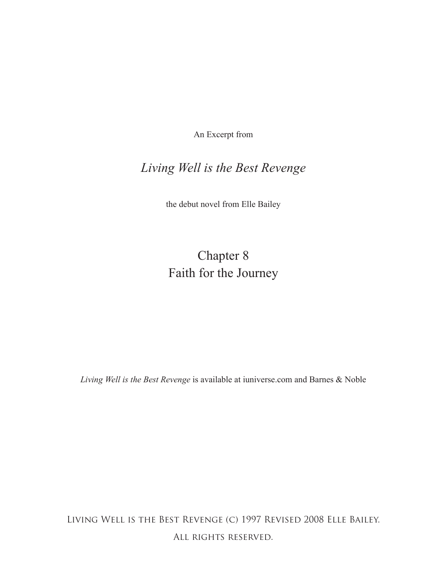An Excerpt from

### *Living Well is the Best Revenge*

the debut novel from Elle Bailey

## Chapter 8 Faith for the Journey

*Living Well is the Best Revenge* is available at iuniverse.com and Barnes & Noble

Living Well is the Best Revenge (c) 1997 Revised 2008 Elle Bailey. All rights reserved.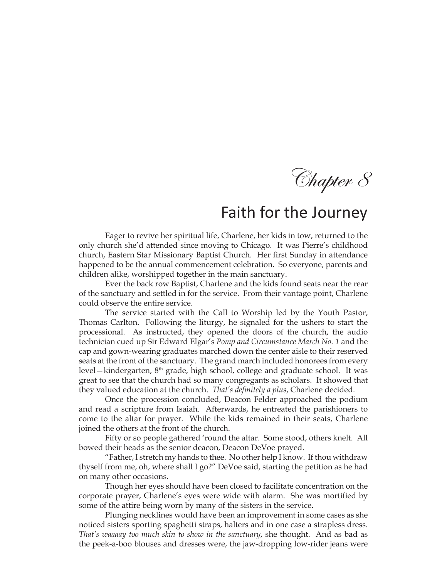Chapter 8

# Faith for the Journey

Eager to revive her spiritual life, Charlene, her kids in tow, returned to the only church she'd attended since moving to Chicago. It was Pierre's childhood church, Eastern Star Missionary Baptist Church. Her first Sunday in attendance happened to be the annual commencement celebration. So everyone, parents and children alike, worshipped together in the main sanctuary.

Ever the back row Baptist, Charlene and the kids found seats near the rear of the sanctuary and settled in for the service. From their vantage point, Charlene could observe the entire service.

The service started with the Call to Worship led by the Youth Pastor, Thomas Carlton. Following the liturgy, he signaled for the ushers to start the processional. As instructed, they opened the doors of the church, the audio technician cued up Sir Edward Elgar's *Pomp and Circumstance March No. 1* and the cap and gown-wearing graduates marched down the center aisle to their reserved seats at the front of the sanctuary. The grand march included honorees from every level—kindergarten,  $8<sup>th</sup>$  grade, high school, college and graduate school. It was great to see that the church had so many congregants as scholars. It showed that they valued education at the church. *That's definitely a plus*, Charlene decided.

Once the procession concluded, Deacon Felder approached the podium and read a scripture from Isaiah. Afterwards, he entreated the parishioners to come to the altar for prayer. While the kids remained in their seats, Charlene joined the others at the front of the church.

Fifty or so people gathered 'round the altar. Some stood, others knelt. All bowed their heads as the senior deacon, Deacon DeVoe prayed.

"Father, I stretch my hands to thee. No other help I know. If thou withdraw thyself from me, oh, where shall I go?" DeVoe said, starting the petition as he had on many other occasions.

Though her eyes should have been closed to facilitate concentration on the corporate prayer, Charlene's eyes were wide with alarm. She was mortified by some of the attire being worn by many of the sisters in the service.

Plunging necklines would have been an improvement in some cases as she noticed sisters sporting spaghetti straps, halters and in one case a strapless dress. *That's waaaay too much skin to show in the sanctuary*, she thought. And as bad as the peek-a-boo blouses and dresses were, the jaw-dropping low-rider jeans were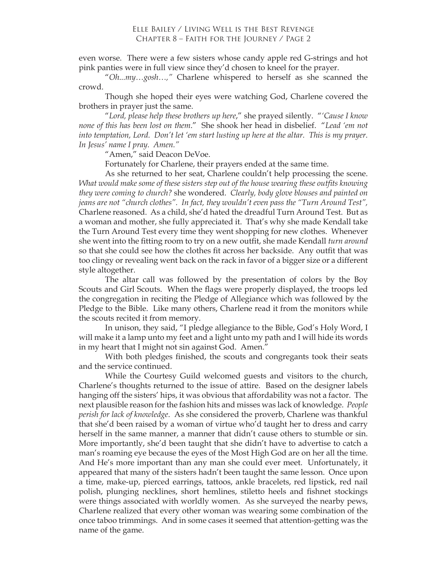even worse. There were a few sisters whose candy apple red G-strings and hot pink panties were in full view since they'd chosen to kneel for the prayer.

"*Oh...my…gosh…,"* Charlene whispered to herself as she scanned the crowd.

Though she hoped their eyes were watching God, Charlene covered the brothers in prayer just the same.

"*Lord, please help these brothers up here*," she prayed silently. "*'Cause I know none of this has been lost on them*." She shook her head in disbelief. "*Lead 'em not*  into temptation, Lord. Don't let 'em start lusting up here at the altar. This is my prayer. *In Jesus' name I pray. Amen."*

"Amen," said Deacon DeVoe.

Fortunately for Charlene, their prayers ended at the same time.

As she returned to her seat, Charlene couldn't help processing the scene. *What would make some of these sisters step out of the house wearing these outfits knowing they were coming to church?* she wondered. *Clearly, body glove blouses and painted on jeans are not "church clothes". In fact, they wouldn't even pass the "Turn Around Test",* Charlene reasoned. As a child, she'd hated the dreadful Turn Around Test. But as a woman and mother, she fully appreciated it. That's why she made Kendall take the Turn Around Test every time they went shopping for new clothes. Whenever she went into the fitting room to try on a new outfit, she made Kendall *turn around* so that she could see how the clothes fit across her backside. Any outfit that was too clingy or revealing went back on the rack in favor of a bigger size or a different style altogether.

The altar call was followed by the presentation of colors by the Boy Scouts and Girl Scouts. When the flags were properly displayed, the troops led the congregation in reciting the Pledge of Allegiance which was followed by the Pledge to the Bible. Like many others, Charlene read it from the monitors while the scouts recited it from memory.

In unison, they said, "I pledge allegiance to the Bible, God's Holy Word, I will make it a lamp unto my feet and a light unto my path and I will hide its words in my heart that I might not sin against God. Amen."

With both pledges finished, the scouts and congregants took their seats and the service continued.

While the Courtesy Guild welcomed guests and visitors to the church, Charlene's thoughts returned to the issue of attire. Based on the designer labels hanging off the sisters' hips, it was obvious that affordability was not a factor. The next plausible reason for the fashion hits and misses was lack of knowledge. *People perish for lack of knowledge*. As she considered the proverb, Charlene was thankful that she'd been raised by a woman of virtue who'd taught her to dress and carry herself in the same manner, a manner that didn't cause others to stumble or sin. More importantly, she'd been taught that she didn't have to advertise to catch a man's roaming eye because the eyes of the Most High God are on her all the time. And He's more important than any man she could ever meet. Unfortunately, it appeared that many of the sisters hadn't been taught the same lesson. Once upon a time, make-up, pierced earrings, tattoos, ankle bracelets, red lipstick, red nail polish, plunging necklines, short hemlines, stiletto heels and fishnet stockings were things associated with worldly women. As she surveyed the nearby pews, Charlene realized that every other woman was wearing some combination of the once taboo trimmings. And in some cases it seemed that attention-getting was the name of the game.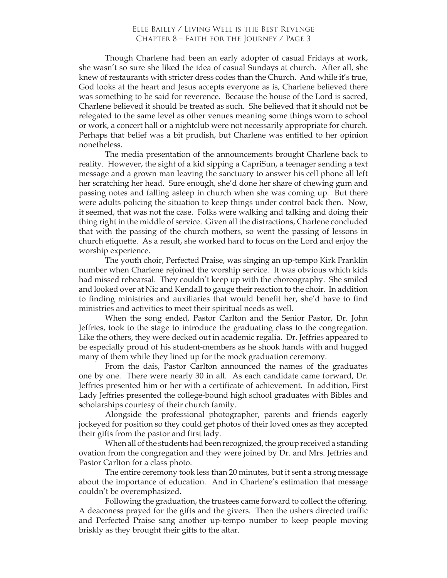Though Charlene had been an early adopter of casual Fridays at work, she wasn't so sure she liked the idea of casual Sundays at church. After all, she knew of restaurants with stricter dress codes than the Church. And while it's true, God looks at the heart and Jesus accepts everyone as is, Charlene believed there was something to be said for reverence. Because the house of the Lord is sacred, Charlene believed it should be treated as such. She believed that it should not be relegated to the same level as other venues meaning some things worn to school or work, a concert hall or a nightclub were not necessarily appropriate for church. Perhaps that belief was a bit prudish, but Charlene was entitled to her opinion nonetheless.

The media presentation of the announcements brought Charlene back to reality. However, the sight of a kid sipping a CapriSun, a teenager sending a text message and a grown man leaving the sanctuary to answer his cell phone all left her scratching her head. Sure enough, she'd done her share of chewing gum and passing notes and falling asleep in church when she was coming up. But there were adults policing the situation to keep things under control back then. Now, it seemed, that was not the case. Folks were walking and talking and doing their thing right in the middle of service. Given all the distractions, Charlene concluded that with the passing of the church mothers, so went the passing of lessons in church etiquette. As a result, she worked hard to focus on the Lord and enjoy the worship experience.

The youth choir, Perfected Praise, was singing an up-tempo Kirk Franklin number when Charlene rejoined the worship service. It was obvious which kids had missed rehearsal. They couldn't keep up with the choreography. She smiled and looked over at Nic and Kendall to gauge their reaction to the choir. In addition to finding ministries and auxiliaries that would benefit her, she'd have to find ministries and activities to meet their spiritual needs as well.

When the song ended, Pastor Carlton and the Senior Pastor, Dr. John Jeffries, took to the stage to introduce the graduating class to the congregation. Like the others, they were decked out in academic regalia. Dr. Jeffries appeared to be especially proud of his student-members as he shook hands with and hugged many of them while they lined up for the mock graduation ceremony.

From the dais, Pastor Carlton announced the names of the graduates one by one. There were nearly 30 in all. As each candidate came forward, Dr. Jeffries presented him or her with a certificate of achievement. In addition, First Lady Jeffries presented the college-bound high school graduates with Bibles and scholarships courtesy of their church family.

Alongside the professional photographer, parents and friends eagerly jockeyed for position so they could get photos of their loved ones as they accepted their gifts from the pastor and first lady.

When all of the students had been recognized, the group received a standing ovation from the congregation and they were joined by Dr. and Mrs. Jeffries and Pastor Carlton for a class photo.

The entire ceremony took less than 20 minutes, but it sent a strong message about the importance of education. And in Charlene's estimation that message couldn't be overemphasized.

Following the graduation, the trustees came forward to collect the offering. A deaconess prayed for the gifts and the givers. Then the ushers directed traffic and Perfected Praise sang another up-tempo number to keep people moving briskly as they brought their gifts to the altar.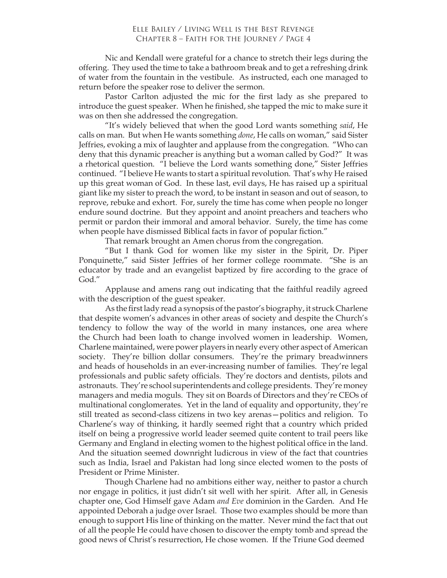Nic and Kendall were grateful for a chance to stretch their legs during the offering. They used the time to take a bathroom break and to get a refreshing drink of water from the fountain in the vestibule. As instructed, each one managed to return before the speaker rose to deliver the sermon.

Pastor Carlton adjusted the mic for the first lady as she prepared to introduce the guest speaker. When he finished, she tapped the mic to make sure it was on then she addressed the congregation.

"It's widely believed that when the good Lord wants something *said*, He calls on man. But when He wants something *done*, He calls on woman," said Sister Jeffries, evoking a mix of laughter and applause from the congregation. "Who can deny that this dynamic preacher is anything but a woman called by God?" It was a rhetorical question. "I believe the Lord wants something done," Sister Jeffries continued. "I believe He wants to start a spiritual revolution. That's why He raised up this great woman of God. In these last, evil days, He has raised up a spiritual giant like my sister to preach the word, to be instant in season and out of season, to reprove, rebuke and exhort. For, surely the time has come when people no longer endure sound doctrine. But they appoint and anoint preachers and teachers who permit or pardon their immoral and amoral behavior. Surely, the time has come when people have dismissed Biblical facts in favor of popular fiction."

That remark brought an Amen chorus from the congregation.

"But I thank God for women like my sister in the Spirit, Dr. Piper Ponquinette," said Sister Jeffries of her former college roommate. "She is an educator by trade and an evangelist baptized by fire according to the grace of God."

Applause and amens rang out indicating that the faithful readily agreed with the description of the guest speaker.

As the first lady read a synopsis of the pastor's biography, it struck Charlene that despite women's advances in other areas of society and despite the Church's tendency to follow the way of the world in many instances, one area where the Church had been loath to change involved women in leadership. Women, Charlene maintained, were power players in nearly every other aspect of American society. They're billion dollar consumers. They're the primary breadwinners and heads of households in an ever-increasing number of families. They're legal professionals and public safety officials. They're doctors and dentists, pilots and astronauts. They're school superintendents and college presidents. They're money managers and media moguls. They sit on Boards of Directors and they're CEOs of multinational conglomerates. Yet in the land of equality and opportunity, they're still treated as second-class citizens in two key arenas—politics and religion. To Charlene's way of thinking, it hardly seemed right that a country which prided itself on being a progressive world leader seemed quite content to trail peers like Germany and England in electing women to the highest political office in the land. And the situation seemed downright ludicrous in view of the fact that countries such as India, Israel and Pakistan had long since elected women to the posts of President or Prime Minister.

Though Charlene had no ambitions either way, neither to pastor a church nor engage in politics, it just didn't sit well with her spirit. After all, in Genesis chapter one, God Himself gave Adam *and Eve* dominion in the Garden. And He appointed Deborah a judge over Israel. Those two examples should be more than enough to support His line of thinking on the matter. Never mind the fact that out of all the people He could have chosen to discover the empty tomb and spread the good news of Christ's resurrection, He chose women. If the Triune God deemed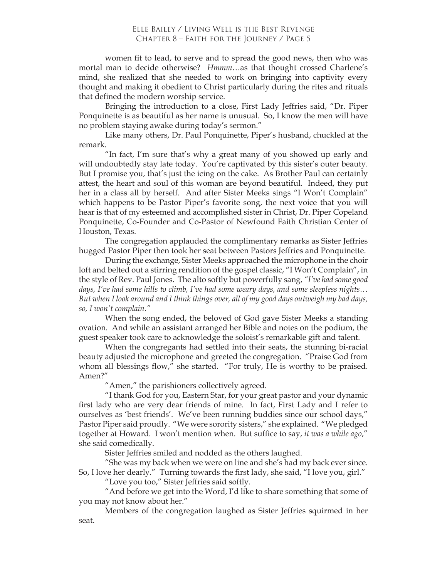women fit to lead, to serve and to spread the good news, then who was mortal man to decide otherwise? *Hmmm*…as that thought crossed Charlene's mind, she realized that she needed to work on bringing into captivity every thought and making it obedient to Christ particularly during the rites and rituals that defined the modern worship service.

Bringing the introduction to a close, First Lady Jeffries said, "Dr. Piper Ponquinette is as beautiful as her name is unusual. So, I know the men will have no problem staying awake during today's sermon."

Like many others, Dr. Paul Ponquinette, Piper's husband, chuckled at the remark.

"In fact, I'm sure that's why a great many of you showed up early and will undoubtedly stay late today. You're captivated by this sister's outer beauty. But I promise you, that's just the icing on the cake. As Brother Paul can certainly attest, the heart and soul of this woman are beyond beautiful. Indeed, they put her in a class all by herself. And after Sister Meeks sings "I Won't Complain" which happens to be Pastor Piper's favorite song, the next voice that you will hear is that of my esteemed and accomplished sister in Christ, Dr. Piper Copeland Ponquinette, Co-Founder and Co-Pastor of Newfound Faith Christian Center of Houston, Texas.

The congregation applauded the complimentary remarks as Sister Jeffries hugged Pastor Piper then took her seat between Pastors Jeffries and Ponquinette.

During the exchange, Sister Meeks approached the microphone in the choir loft and belted out a stirring rendition of the gospel classic, "I Won't Complain", in the style of Rev. Paul Jones. The alto softly but powerfully sang, *"I've had some good days, I've had some hills to climb, I've had some weary days, and some sleepless nights… But when I look around and I think things over, all of my good days outweigh my bad days, so, I won't complain."*

When the song ended, the beloved of God gave Sister Meeks a standing ovation. And while an assistant arranged her Bible and notes on the podium, the guest speaker took care to acknowledge the soloist's remarkable gift and talent.

When the congregants had settled into their seats, the stunning bi-racial beauty adjusted the microphone and greeted the congregation. "Praise God from whom all blessings flow," she started. "For truly, He is worthy to be praised. Amen?"

"Amen," the parishioners collectively agreed.

"I thank God for you, Eastern Star, for your great pastor and your dynamic first lady who are very dear friends of mine. In fact, First Lady and I refer to ourselves as 'best friends'. We've been running buddies since our school days," Pastor Piper said proudly. "We were sorority sisters," she explained. "We pledged together at Howard. I won't mention when. But suffice to say, *it was a while ago*," she said comedically.

Sister Jeffries smiled and nodded as the others laughed.

"She was my back when we were on line and she's had my back ever since. So, I love her dearly." Turning towards the first lady, she said, "I love you, girl."

"Love you too," Sister Jeffries said softly.

"And before we get into the Word, I'd like to share something that some of you may not know about her."

Members of the congregation laughed as Sister Jeffries squirmed in her seat.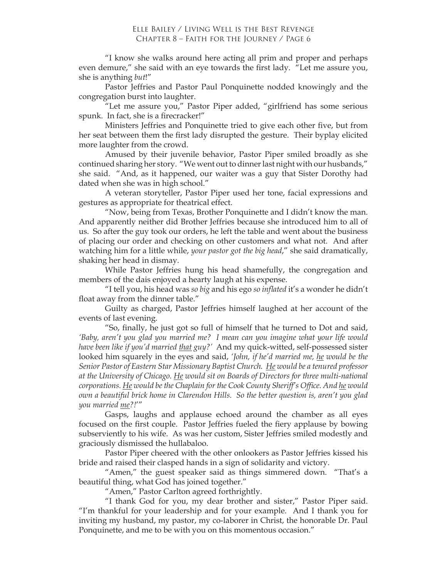"I know she walks around here acting all prim and proper and perhaps even demure," she said with an eye towards the first lady. "Let me assure you, she is anything *but*!"

Pastor Jeffries and Pastor Paul Ponquinette nodded knowingly and the congregation burst into laughter.

"Let me assure you," Pastor Piper added, "girlfriend has some serious spunk. In fact, she is a firecracker!"

Ministers Jeffries and Ponquinette tried to give each other five, but from her seat between them the first lady disrupted the gesture. Their byplay elicited more laughter from the crowd.

Amused by their juvenile behavior, Pastor Piper smiled broadly as she continued sharing her story. "We went out to dinner last night with our husbands," she said. "And, as it happened, our waiter was a guy that Sister Dorothy had dated when she was in high school."

A veteran storyteller, Pastor Piper used her tone, facial expressions and gestures as appropriate for theatrical effect.

"Now, being from Texas, Brother Ponquinette and I didn't know the man. And apparently neither did Brother Jeffries because she introduced him to all of us. So after the guy took our orders, he left the table and went about the business of placing our order and checking on other customers and what not. And after watching him for a little while, *your pastor got the big head*," she said dramatically, shaking her head in dismay.

While Pastor Jeffries hung his head shamefully, the congregation and members of the dais enjoyed a hearty laugh at his expense.

"I tell you, his head was *so big* and his ego *so inflated* it's a wonder he didn't float away from the dinner table."

Guilty as charged, Pastor Jeffries himself laughed at her account of the events of last evening.

"So, finally, he just got so full of himself that he turned to Dot and said, *'Baby, aren't you glad you married me? I mean can you imagine what your life would have been like if you'd married that guy?'* And my quick-witted, self-possessed sister looked him squarely in the eyes and said, *'John, if he'd married me, he would be the Senior Pastor of Eastern Star Missionary Baptist Church. He would be a tenured professor at the University of Chicago. He would sit on Boards of Directors for three multi-national corporations. He would be the Chaplain for the Cook County Sheriff's Office. And he would own a beautiful brick home in Clarendon Hills. So the better question is, aren't you glad you married me?!*'"

Gasps, laughs and applause echoed around the chamber as all eyes focused on the first couple. Pastor Jeffries fueled the fiery applause by bowing subserviently to his wife. As was her custom, Sister Jeffries smiled modestly and graciously dismissed the hullabaloo.

Pastor Piper cheered with the other onlookers as Pastor Jeffries kissed his bride and raised their clasped hands in a sign of solidarity and victory.

"Amen," the guest speaker said as things simmered down. "That's a beautiful thing, what God has joined together."

"Amen," Pastor Carlton agreed forthrightly.

"I thank God for you, my dear brother and sister," Pastor Piper said. "I'm thankful for your leadership and for your example. And I thank you for inviting my husband, my pastor, my co-laborer in Christ, the honorable Dr. Paul Ponquinette, and me to be with you on this momentous occasion."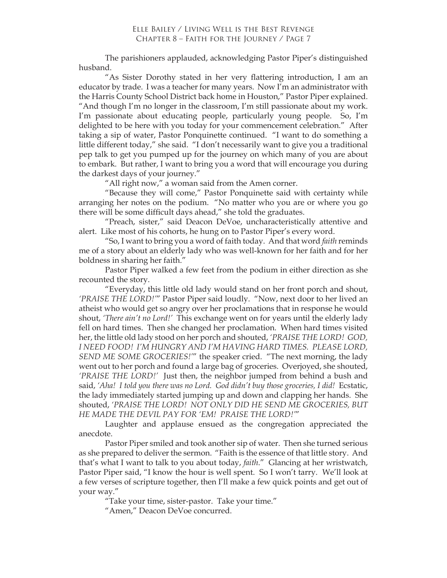The parishioners applauded, acknowledging Pastor Piper's distinguished husband.

"As Sister Dorothy stated in her very flattering introduction, I am an educator by trade. I was a teacher for many years. Now I'm an administrator with the Harris County School District back home in Houston," Pastor Piper explained. "And though I'm no longer in the classroom, I'm still passionate about my work. I'm passionate about educating people, particularly young people. So, I'm delighted to be here with you today for your commencement celebration." After taking a sip of water, Pastor Ponquinette continued. "I want to do something a little different today," she said. "I don't necessarily want to give you a traditional pep talk to get you pumped up for the journey on which many of you are about to embark. But rather, I want to bring you a word that will encourage you during the darkest days of your journey."

"All right now," a woman said from the Amen corner.

"Because they will come," Pastor Ponquinette said with certainty while arranging her notes on the podium. "No matter who you are or where you go there will be some difficult days ahead," she told the graduates.

"Preach, sister," said Deacon DeVoe, uncharacteristically attentive and alert. Like most of his cohorts, he hung on to Pastor Piper's every word.

"So, I want to bring you a word of faith today. And that word *faith* reminds me of a story about an elderly lady who was well-known for her faith and for her boldness in sharing her faith."

Pastor Piper walked a few feet from the podium in either direction as she recounted the story.

"Everyday, this little old lady would stand on her front porch and shout, *'PRAISE THE LORD!'*" Pastor Piper said loudly. "Now, next door to her lived an atheist who would get so angry over her proclamations that in response he would shout, *'There ain't no Lord!'* This exchange went on for years until the elderly lady fell on hard times. Then she changed her proclamation. When hard times visited her, the little old lady stood on her porch and shouted, *'PRAISE THE LORD! GOD, I NEED FOOD! I'M HUNGRY AND I'M HAVING HARD TIMES. PLEASE LORD, SEND ME SOME GROCERIES!'*" the speaker cried. "The next morning, the lady went out to her porch and found a large bag of groceries. Overjoyed, she shouted, *'PRAISE THE LORD!'* Just then, the neighbor jumped from behind a bush and said, *'Aha! I told you there was no Lord. God didn't buy those groceries, I did!* Ecstatic, the lady immediately started jumping up and down and clapping her hands. She shouted, *'PRAISE THE LORD! NOT ONLY DID HE SEND ME GROCERIES, BUT HE MADE THE DEVIL PAY FOR 'EM! PRAISE THE LORD!'*"

Laughter and applause ensued as the congregation appreciated the anecdote.

Pastor Piper smiled and took another sip of water. Then she turned serious as she prepared to deliver the sermon. "Faith is the essence of that little story. And that's what I want to talk to you about today, *faith*." Glancing at her wristwatch, Pastor Piper said, "I know the hour is well spent. So I won't tarry. We'll look at a few verses of scripture together, then I'll make a few quick points and get out of your way."

"Take your time, sister-pastor. Take your time."

"Amen," Deacon DeVoe concurred.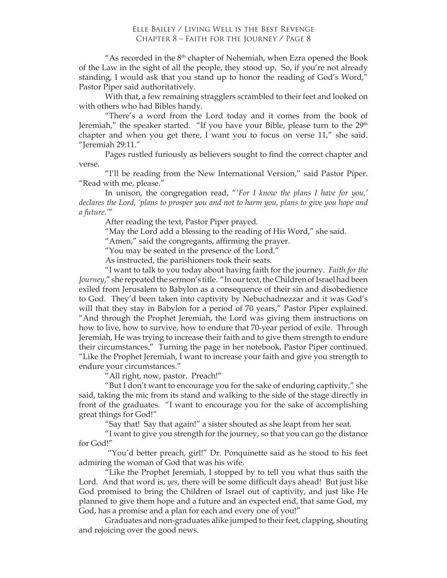"As recorded in the  $8<sup>th</sup>$  chapter of Nehemiah, when Ezra opened the Book of the Law in the sight of all the people, they stood up. So, if you're not already standing, I would ask that you stand up to honor the reading of God's Word," Pastor Piper said authoritatively.

With that, a few remaining stragglers scrambled to their feet and looked on with others who had Bibles handy.

"There's a word from the Lord today and it comes from the book of Jeremiah," the speaker started. "If you have your Bible, please turn to the 29<sup>th</sup> chapter and when you get there, I want you to focus on verse 11," she said. "Jeremiah 29:11."

Pages rustled furiously as believers sought to find the correct chapter and verse.

"I'll be reading from the New International Version," said Pastor Piper. "Read with me, please."

In unison, the congregation read, "*'For I know the plans I have for you,' declares the Lord, 'plans to prosper you and not to harm you, plans to give you hope and a future.'*"

After reading the text, Pastor Piper prayed.

"May the Lord add a blessing to the reading of His Word," she said.

"Amen," said the congregants, affirming the prayer.

"You may be seated in the presence of the Lord."

As instructed, the parishioners took their seats.

"I want to talk to you today about having faith for the journey. *Faith for the Journey*," she repeated the sermon's title. "In our text, the Children of Israel had been exiled from Jerusalem to Babylon as a consequence of their sin and disobedience to God. They'd been taken into captivity by Nebuchadnezzar and it was God's will that they stay in Babylon for a period of 70 years," Pastor Piper explained. "And through the Prophet Jeremiah, the Lord was giving them instructions on how to live, how to survive, how to endure that 70-year period of exile. Through Jeremiah, He was trying to increase their faith and to give them strength to endure their circumstances." Turning the page in her notebook, Pastor Piper continued. "Like the Prophet Jeremiah, I want to increase your faith and give you strength to endure your circumstances."

"All right, now, pastor. Preach!"

"But I don't want to encourage you for the sake of enduring captivity," she said, taking the mic from its stand and walking to the side of the stage directly in front of the graduates. "I want to encourage you for the sake of accomplishing great things for God!"

"Say that! Say that again!" a sister shouted as she leapt from her seat.

"I want to give you strength for the journey, so that you can go the distance for God!"

 "You'd better preach, girl!" Dr. Ponquinette said as he stood to his feet admiring the woman of God that was his wife.

"Like the Prophet Jeremiah, I stopped by to tell you what thus saith the Lord. And that word is, *yes*, there will be some difficult days ahead! But just like God promised to bring the Children of Israel out of captivity, and just like He planned to give them hope and a future and an expected end, that same God, my God, has a promise and a plan for each and every one of you!"

Graduates and non-graduates alike jumped to their feet, clapping, shouting and rejoicing over the good news.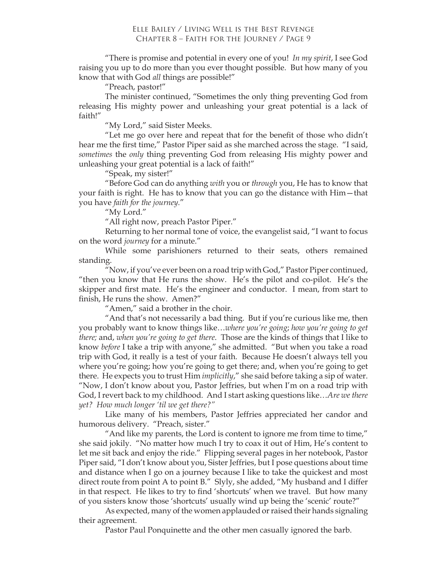"There is promise and potential in every one of you! *In my spirit*, I see God raising you up to do more than you ever thought possible. But how many of you know that with God *all* things are possible!"

"Preach, pastor!"

The minister continued, "Sometimes the only thing preventing God from releasing His mighty power and unleashing your great potential is a lack of faith!"

"My Lord," said Sister Meeks.

"Let me go over here and repeat that for the benefit of those who didn't hear me the first time," Pastor Piper said as she marched across the stage. "I said, *sometimes* the *only* thing preventing God from releasing His mighty power and unleashing your great potential is a lack of faith!"

"Speak, my sister!"

"Before God can do anything *with* you or *through* you, He has to know that your faith is right. He has to know that you can go the distance with Him—that you have *faith for the journey.*"

"My Lord."

"All right now, preach Pastor Piper."

Returning to her normal tone of voice, the evangelist said, "I want to focus on the word *journey* for a minute."

While some parishioners returned to their seats, others remained standing.

"Now, if you've ever been on a road trip with God," Pastor Piper continued, "then you know that He runs the show. He's the pilot and co-pilot. He's the skipper and first mate. He's the engineer and conductor. I mean, from start to finish, He runs the show. Amen?"

"Amen," said a brother in the choir.

"And that's not necessarily a bad thing. But if you're curious like me, then you probably want to know things like…*where you're going*; *how you're going to get there;* and, *when you're going to get there*. Those are the kinds of things that I like to know *before* I take a trip with anyone," she admitted. "But when you take a road trip with God, it really is a test of your faith. Because He doesn't always tell you where you're going; how you're going to get there; and, when you're going to get there. He expects you to trust Him *implicitly*," she said before taking a sip of water. "Now, I don't know about you, Pastor Jeffries, but when I'm on a road trip with God, I revert back to my childhood. And I start asking questions like…*Are we there yet? How much longer 'til we get there?"*

Like many of his members, Pastor Jeffries appreciated her candor and humorous delivery. "Preach, sister."

"And like my parents, the Lord is content to ignore me from time to time," she said jokily. "No matter how much I try to coax it out of Him, He's content to let me sit back and enjoy the ride." Flipping several pages in her notebook, Pastor Piper said, "I don't know about you, Sister Jeffries, but I pose questions about time and distance when I go on a journey because I like to take the quickest and most direct route from point A to point B." Slyly, she added, "My husband and I differ in that respect. He likes to try to find 'shortcuts' when we travel. But how many of you sisters know those 'shortcuts' usually wind up being the 'scenic' route?"

As expected, many of the women applauded or raised their hands signaling their agreement.

Pastor Paul Ponquinette and the other men casually ignored the barb.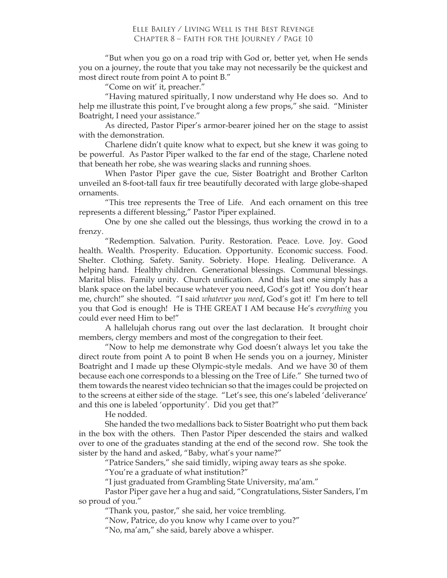"But when you go on a road trip with God or, better yet, when He sends you on a journey, the route that you take may not necessarily be the quickest and most direct route from point A to point B."

"Come on wit' it, preacher."

"Having matured spiritually, I now understand why He does so. And to help me illustrate this point, I've brought along a few props," she said. "Minister Boatright, I need your assistance."

As directed, Pastor Piper's armor-bearer joined her on the stage to assist with the demonstration.

Charlene didn't quite know what to expect, but she knew it was going to be powerful. As Pastor Piper walked to the far end of the stage, Charlene noted that beneath her robe, she was wearing slacks and running shoes.

When Pastor Piper gave the cue, Sister Boatright and Brother Carlton unveiled an 8-foot-tall faux fir tree beautifully decorated with large globe-shaped ornaments.

"This tree represents the Tree of Life. And each ornament on this tree represents a different blessing," Pastor Piper explained.

One by one she called out the blessings, thus working the crowd in to a frenzy.

"Redemption. Salvation. Purity. Restoration. Peace. Love. Joy. Good health. Wealth. Prosperity. Education. Opportunity. Economic success. Food. Shelter. Clothing. Safety. Sanity. Sobriety. Hope. Healing. Deliverance. A helping hand. Healthy children. Generational blessings. Communal blessings. Marital bliss. Family unity. Church unification. And this last one simply has a blank space on the label because whatever you need, God's got it! You don't hear me, church!" she shouted. "I said *whatever you need*, God's got it! I'm here to tell you that God is enough! He is THE GREAT I AM because He's *everything* you could ever need Him to be!"

A hallelujah chorus rang out over the last declaration. It brought choir members, clergy members and most of the congregation to their feet.

"Now to help me demonstrate why God doesn't always let you take the direct route from point A to point B when He sends you on a journey, Minister Boatright and I made up these Olympic-style medals. And we have 30 of them because each one corresponds to a blessing on the Tree of Life." She turned two of them towards the nearest video technician so that the images could be projected on to the screens at either side of the stage. "Let's see, this one's labeled 'deliverance' and this one is labeled 'opportunity'. Did you get that?"

He nodded.

She handed the two medallions back to Sister Boatright who put them back in the box with the others. Then Pastor Piper descended the stairs and walked over to one of the graduates standing at the end of the second row. She took the sister by the hand and asked, "Baby, what's your name?"

"Patrice Sanders," she said timidly, wiping away tears as she spoke.

"You're a graduate of what institution?"

"I just graduated from Grambling State University, ma'am."

Pastor Piper gave her a hug and said, "Congratulations, Sister Sanders, I'm so proud of you."

"Thank you, pastor," she said, her voice trembling.

"Now, Patrice, do you know why I came over to you?"

"No, ma'am," she said, barely above a whisper.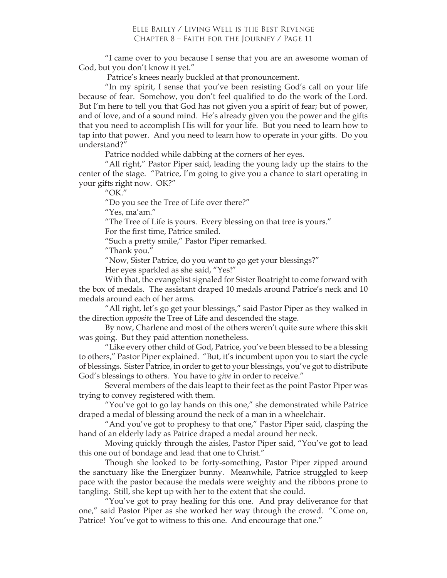"I came over to you because I sense that you are an awesome woman of God, but you don't know it yet."

Patrice's knees nearly buckled at that pronouncement.

"In my spirit, I sense that you've been resisting God's call on your life because of fear. Somehow, you don't feel qualified to do the work of the Lord. But I'm here to tell you that God has not given you a spirit of fear; but of power, and of love, and of a sound mind. He's already given you the power and the gifts that you need to accomplish His will for your life. But you need to learn how to tap into that power. And you need to learn how to operate in your gifts. Do you understand?"

Patrice nodded while dabbing at the corners of her eyes.

"All right," Pastor Piper said, leading the young lady up the stairs to the center of the stage. "Patrice, I'm going to give you a chance to start operating in your gifts right now. OK?"

 $^{\prime\prime}$ OK. $^{\prime\prime}$ 

"Do you see the Tree of Life over there?"

"Yes, ma'am."

"The Tree of Life is yours. Every blessing on that tree is yours."

For the first time, Patrice smiled.

"Such a pretty smile," Pastor Piper remarked.

"Thank you."

"Now, Sister Patrice, do you want to go get your blessings?"

Her eyes sparkled as she said, "Yes!"

With that, the evangelist signaled for Sister Boatright to come forward with the box of medals. The assistant draped 10 medals around Patrice's neck and 10 medals around each of her arms.

"All right, let's go get your blessings," said Pastor Piper as they walked in the direction *opposite* the Tree of Life and descended the stage.

By now, Charlene and most of the others weren't quite sure where this skit was going. But they paid attention nonetheless.

"Like every other child of God, Patrice, you've been blessed to be a blessing to others," Pastor Piper explained. "But, it's incumbent upon you to start the cycle of blessings. Sister Patrice, in order to get to your blessings, you've got to distribute God's blessings to others. You have to *give* in order to receive."

Several members of the dais leapt to their feet as the point Pastor Piper was trying to convey registered with them.

"You've got to go lay hands on this one," she demonstrated while Patrice draped a medal of blessing around the neck of a man in a wheelchair.

"And you've got to prophesy to that one," Pastor Piper said, clasping the hand of an elderly lady as Patrice draped a medal around her neck.

Moving quickly through the aisles, Pastor Piper said, "You've got to lead this one out of bondage and lead that one to Christ."

Though she looked to be forty-something, Pastor Piper zipped around the sanctuary like the Energizer bunny. Meanwhile, Patrice struggled to keep pace with the pastor because the medals were weighty and the ribbons prone to tangling. Still, she kept up with her to the extent that she could.

"You've got to pray healing for this one. And pray deliverance for that one," said Pastor Piper as she worked her way through the crowd. "Come on, Patrice! You've got to witness to this one. And encourage that one."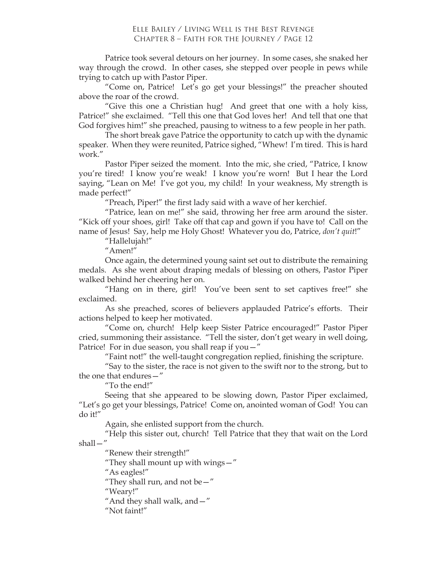Patrice took several detours on her journey. In some cases, she snaked her way through the crowd. In other cases, she stepped over people in pews while trying to catch up with Pastor Piper.

"Come on, Patrice! Let's go get your blessings!" the preacher shouted above the roar of the crowd.

"Give this one a Christian hug! And greet that one with a holy kiss, Patrice!" she exclaimed. "Tell this one that God loves her! And tell that one that God forgives him!" she preached, pausing to witness to a few people in her path.

The short break gave Patrice the opportunity to catch up with the dynamic speaker. When they were reunited, Patrice sighed, "Whew! I'm tired. This is hard work."

Pastor Piper seized the moment. Into the mic, she cried, "Patrice, I know you're tired! I know you're weak! I know you're worn! But I hear the Lord saying, "Lean on Me! I've got you, my child! In your weakness, My strength is made perfect!"

"Preach, Piper!" the first lady said with a wave of her kerchief.

"Patrice, lean on me!" she said, throwing her free arm around the sister. "Kick off your shoes, girl! Take off that cap and gown if you have to! Call on the name of Jesus! Say, help me Holy Ghost! Whatever you do, Patrice, *don't quit*!"

"Hallelujah!"

"Amen!"

Once again, the determined young saint set out to distribute the remaining medals. As she went about draping medals of blessing on others, Pastor Piper walked behind her cheering her on.

"Hang on in there, girl! You've been sent to set captives free!" she exclaimed.

As she preached, scores of believers applauded Patrice's efforts. Their actions helped to keep her motivated.

"Come on, church! Help keep Sister Patrice encouraged!" Pastor Piper cried, summoning their assistance. "Tell the sister, don't get weary in well doing, Patrice! For in due season, you shall reap if you—"

"Faint not!" the well-taught congregation replied, finishing the scripture.

"Say to the sister, the race is not given to the swift nor to the strong, but to the one that endures—"

"To the end!"

Seeing that she appeared to be slowing down, Pastor Piper exclaimed, "Let's go get your blessings, Patrice! Come on, anointed woman of God! You can do it!"

Again, she enlisted support from the church.

"Help this sister out, church! Tell Patrice that they that wait on the Lord shall—"

"Renew their strength!"

"They shall mount up with wings—"

"As eagles!"

"They shall run, and not be $-$ "

"Weary!"

"And they shall walk, and—"

"Not faint!"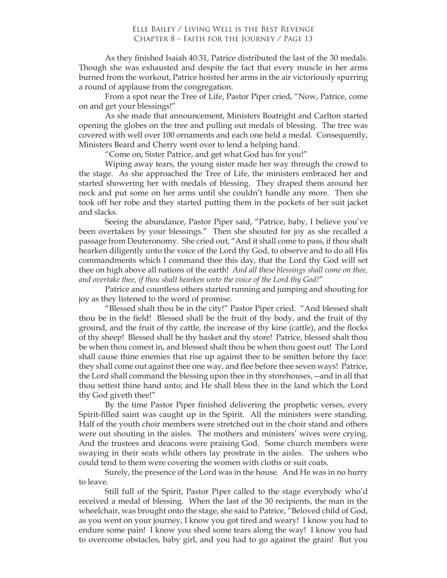As they finished Isaiah 40:31, Patrice distributed the last of the 30 medals. Though she was exhausted and despite the fact that every muscle in her arms burned from the workout, Patrice hoisted her arms in the air victoriously spurring a round of applause from the congregation.

From a spot near the Tree of Life, Pastor Piper cried, "Now, Patrice, come on and get your blessings!"

As she made that announcement, Ministers Boatright and Carlton started opening the globes on the tree and pulling out medals of blessing. The tree was covered with well over 100 ornaments and each one held a medal. Consequently, Ministers Beard and Cherry went over to lend a helping hand.

"Come on, Sister Patrice, and get what God has for you!"

Wiping away tears, the young sister made her way through the crowd to the stage. As she approached the Tree of Life, the ministers embraced her and started showering her with medals of blessing. They draped them around her neck and put some on her arms until she couldn't handle any more. Then she took off her robe and they started putting them in the pockets of her suit jacket and slacks.

Seeing the abundance, Pastor Piper said, "Patrice, baby, I believe you've been overtaken by your blessings." Then she shouted for joy as she recalled a passage from Deuteronomy. She cried out, "And it shall come to pass, if thou shalt hearken diligently unto the voice of the Lord thy God, to observe and to do all His commandments which I command thee this day, that the Lord thy God will set thee on high above all nations of the earth! *And all these blessings shall come on thee, and overtake thee, if thou shalt hearken unto the voice of the Lord thy God!*"

Patrice and countless others started running and jumping and shouting for joy as they listened to the word of promise.

"Blessed shalt thou be in the city!" Pastor Piper cried. "And blessed shalt thou be in the field! Blessed shall be the fruit of thy body, and the fruit of thy ground, and the fruit of thy cattle, the increase of thy kine (cattle), and the flocks of thy sheep! Blessed shall be thy basket and thy store! Patrice, blessed shalt thou be when thou comest in, and blessed shalt thou be when thou goest out! The Lord shall cause thine enemies that rise up against thee to be smitten before thy face: they shall come out against thee one way, and flee before thee seven ways! Patrice, the Lord shall command the blessing upon thee in thy storehouses, --and in all that thou settest thine hand unto; and He shall bless thee in the land which the Lord thy God giveth thee!"

By the time Pastor Piper finished delivering the prophetic verses, every Spirit-filled saint was caught up in the Spirit. All the ministers were standing. Half of the youth choir members were stretched out in the choir stand and others were out shouting in the aisles. The mothers and ministers' wives were crying. And the trustees and deacons were praising God. Some church members were swaying in their seats while others lay prostrate in the aisles. The ushers who could tend to them were covering the women with cloths or suit coats.

Surely, the presence of the Lord was in the house. And He was in no hurry to leave.

Still full of the Spirit, Pastor Piper called to the stage everybody who'd received a medal of blessing. When the last of the 30 recipients, the man in the wheelchair, was brought onto the stage, she said to Patrice, "Beloved child of God, as you went on your journey, I know you got tired and weary! I know you had to endure some pain! I know you shed some tears along the way! I know you had to overcome obstacles, baby girl, and you had to go against the grain! But you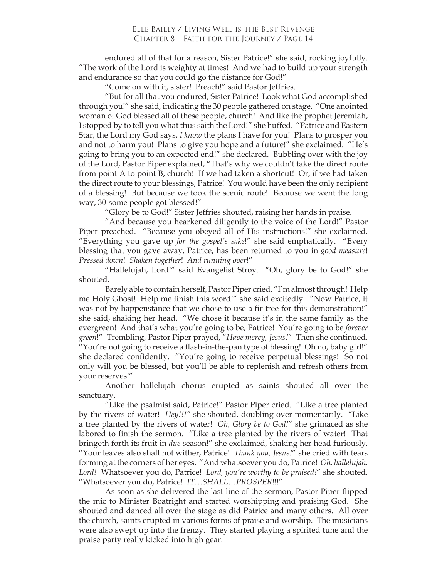endured all of that for a reason, Sister Patrice!" she said, rocking joyfully. "The work of the Lord is weighty at times! And we had to build up your strength and endurance so that you could go the distance for God!"

"Come on with it, sister! Preach!" said Pastor Jeffries.

"But for all that you endured, Sister Patrice! Look what God accomplished through you!" she said, indicating the 30 people gathered on stage. "One anointed woman of God blessed all of these people, church! And like the prophet Jeremiah, I stopped by to tell you what thus saith the Lord!" she huffed. "Patrice and Eastern Star, the Lord my God says, *I know* the plans I have for you! Plans to prosper you and not to harm you! Plans to give you hope and a future!" she exclaimed. "He's going to bring you to an expected end!" she declared. Bubbling over with the joy of the Lord, Pastor Piper explained, "That's why we couldn't take the direct route from point A to point B, church! If we had taken a shortcut! Or, if we had taken the direct route to your blessings, Patrice! You would have been the only recipient of a blessing! But because we took the scenic route! Because we went the long way, 30-some people got blessed!"

"Glory be to God!" Sister Jeffries shouted, raising her hands in praise.

"And because you hearkened diligently to the voice of the Lord!" Pastor Piper preached. "Because you obeyed all of His instructions!" she exclaimed. "Everything you gave up *for the gospel's sake*!" she said emphatically. "Every blessing that you gave away, Patrice, has been returned to you in *good measure*! *Pressed down*! *Shaken together*! *And running over*!"

"Hallelujah, Lord!" said Evangelist Stroy. "Oh, glory be to God!" she shouted.

Barely able to contain herself, Pastor Piper cried, "I'm almost through! Help me Holy Ghost! Help me finish this word!" she said excitedly. "Now Patrice, it was not by happenstance that we chose to use a fir tree for this demonstration!" she said, shaking her head. "We chose it because it's in the same family as the evergreen! And that's what you're going to be, Patrice! You're going to be *forever green*!" Trembling, Pastor Piper prayed, "*Have mercy, Jesus!*" Then she continued. "You're not going to receive a flash-in-the-pan type of blessing! Oh no, baby girl!" she declared confidently. "You're going to receive perpetual blessings! So not only will you be blessed, but you'll be able to replenish and refresh others from your reserves!"

Another hallelujah chorus erupted as saints shouted all over the sanctuary.

"Like the psalmist said, Patrice!" Pastor Piper cried. "Like a tree planted by the rivers of water! *Hey!!!"* she shouted, doubling over momentarily. "Like a tree planted by the rivers of water! *Oh, Glory be to God!*" she grimaced as she labored to finish the sermon. "Like a tree planted by the rivers of water! That bringeth forth its fruit in *due* season!" she exclaimed, shaking her head furiously. "Your leaves also shall not wither, Patrice! *Thank you, Jesus!*" she cried with tears forming at the corners of her eyes. "And whatsoever you do, Patrice! *Oh, hallelujah, Lord!* Whatsoever you do, Patrice! *Lord, you're worthy to be praised!*" she shouted. "Whatsoever you do, Patrice! *IT*…*SHALL*…*PROSPER*!!!"

As soon as she delivered the last line of the sermon, Pastor Piper flipped the mic to Minister Boatright and started worshipping and praising God. She shouted and danced all over the stage as did Patrice and many others. All over the church, saints erupted in various forms of praise and worship. The musicians were also swept up into the frenzy. They started playing a spirited tune and the praise party really kicked into high gear.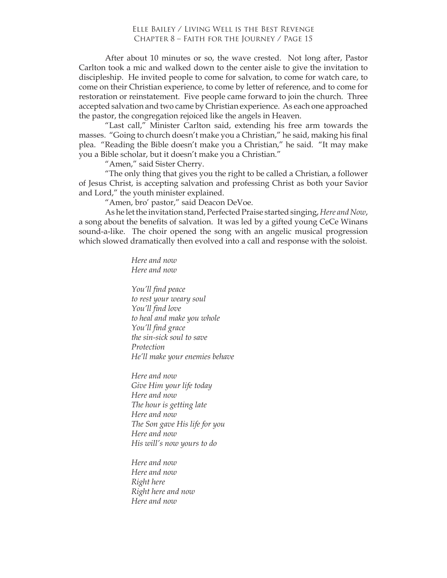After about 10 minutes or so, the wave crested. Not long after, Pastor Carlton took a mic and walked down to the center aisle to give the invitation to discipleship. He invited people to come for salvation, to come for watch care, to come on their Christian experience, to come by letter of reference, and to come for restoration or reinstatement. Five people came forward to join the church. Three accepted salvation and two came by Christian experience. As each one approached the pastor, the congregation rejoiced like the angels in Heaven.

"Last call," Minister Carlton said, extending his free arm towards the masses. "Going to church doesn't make you a Christian," he said, making his final plea. "Reading the Bible doesn't make you a Christian," he said. "It may make you a Bible scholar, but it doesn't make you a Christian."

"Amen," said Sister Cherry.

"The only thing that gives you the right to be called a Christian, a follower of Jesus Christ, is accepting salvation and professing Christ as both your Savior and Lord," the youth minister explained.

"Amen, bro' pastor," said Deacon DeVoe.

As he let the invitation stand, Perfected Praise started singing, *Here and Now*, a song about the benefits of salvation. It was led by a gifted young CeCe Winans sound-a-like. The choir opened the song with an angelic musical progression which slowed dramatically then evolved into a call and response with the soloist.

> *Here and now Here and now*

*You'll find peace to rest your weary soul You'll find love to heal and make you whole You'll find grace the sin-sick soul to save Protection He'll make your enemies behave*

*Here and now Give Him your life today Here and now The hour is getting late Here and now The Son gave His life for you Here and now His will's now yours to do*

*Here and now Here and now Right here Right here and now Here and now*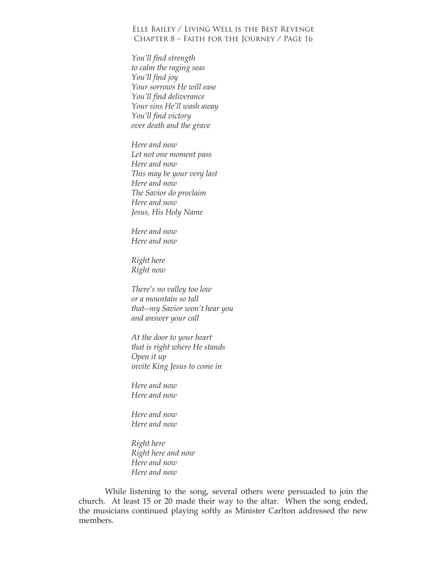*You'll find strength to calm the raging seas You'll find joy Your sorrows He will ease You'll find deliverance Your sins He'll wash away You'll find victory over death and the grave*

*Here and now Let not one moment pass Here and now This may be your very last Here and now The Savior do proclaim Here and now Jesus, His Holy Name*

*Here and now Here and now*

*Right here Right now*

*There's no valley too low or a mountain so tall that--my Savior won't hear you and answer your call*

*At the door to your heart that is right where He stands Open it up invite King Jesus to come in*

*Here and now Here and now*

*Here and now Here and now*

*Right here Right here and now Here and now Here and now*

While listening to the song, several others were persuaded to join the church. At least 15 or 20 made their way to the altar. When the song ended, the musicians continued playing softly as Minister Carlton addressed the new members.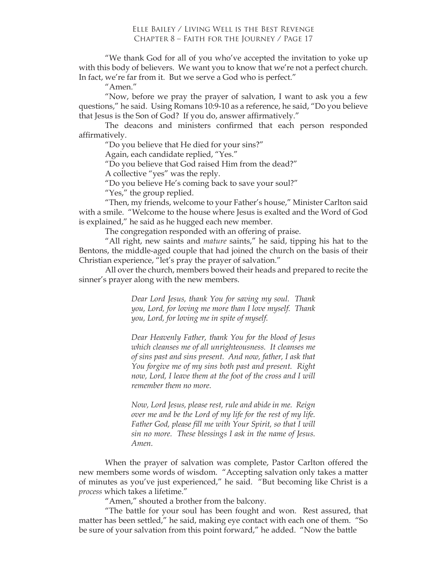"We thank God for all of you who've accepted the invitation to yoke up with this body of believers. We want you to know that we're not a perfect church. In fact, we're far from it. But we serve a God who is perfect."

"Amen."

"Now, before we pray the prayer of salvation, I want to ask you a few questions," he said. Using Romans 10:9-10 as a reference, he said, "Do you believe that Jesus is the Son of God? If you do, answer affirmatively."

The deacons and ministers confirmed that each person responded affirmatively.

"Do you believe that He died for your sins?"

Again, each candidate replied, "Yes."

"Do you believe that God raised Him from the dead?"

A collective "yes" was the reply.

"Do you believe He's coming back to save your soul?"

"Yes," the group replied.

"Then, my friends, welcome to your Father's house," Minister Carlton said with a smile. "Welcome to the house where Jesus is exalted and the Word of God is explained," he said as he hugged each new member.

The congregation responded with an offering of praise.

"All right, new saints and *mature* saints," he said, tipping his hat to the Bentons, the middle-aged couple that had joined the church on the basis of their Christian experience, "let's pray the prayer of salvation."

All over the church, members bowed their heads and prepared to recite the sinner's prayer along with the new members.

> *Dear Lord Jesus, thank You for saving my soul. Thank you, Lord, for loving me more than I love myself. Thank you, Lord, for loving me in spite of myself.*

> *Dear Heavenly Father, thank You for the blood of Jesus which cleanses me of all unrighteousness. It cleanses me of sins past and sins present. And now, father, I ask that You forgive me of my sins both past and present. Right now, Lord, I leave them at the foot of the cross and I will remember them no more.*

> *Now, Lord Jesus, please rest, rule and abide in me. Reign over me and be the Lord of my life for the rest of my life. Father God, please fill me with Your Spirit, so that I will sin no more. These blessings I ask in the name of Jesus. Amen.*

When the prayer of salvation was complete, Pastor Carlton offered the new members some words of wisdom. "Accepting salvation only takes a matter of minutes as you've just experienced," he said. "But becoming like Christ is a *process* which takes a lifetime."

"Amen," shouted a brother from the balcony.

"The battle for your soul has been fought and won. Rest assured, that matter has been settled," he said, making eye contact with each one of them. "So be sure of your salvation from this point forward," he added. "Now the battle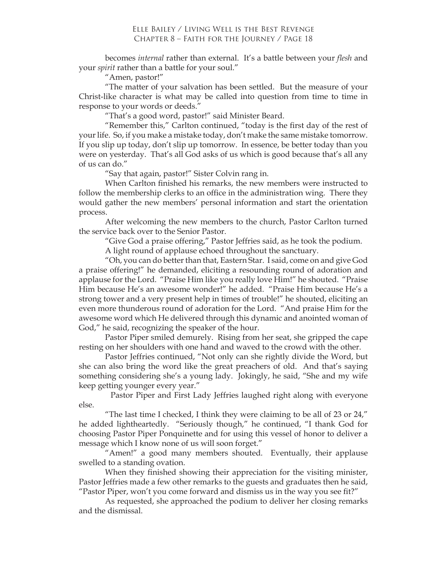becomes *internal* rather than external. It's a battle between your *flesh* and your *spirit* rather than a battle for your soul."

"Amen, pastor!"

"The matter of your salvation has been settled. But the measure of your Christ-like character is what may be called into question from time to time in response to your words or deeds."

"That's a good word, pastor!" said Minister Beard.

"Remember this," Carlton continued, "today is the first day of the rest of your life. So, if you make a mistake today, don't make the same mistake tomorrow. If you slip up today, don't slip up tomorrow. In essence, be better today than you were on yesterday. That's all God asks of us which is good because that's all any of us can do."

"Say that again, pastor!" Sister Colvin rang in.

When Carlton finished his remarks, the new members were instructed to follow the membership clerks to an office in the administration wing. There they would gather the new members' personal information and start the orientation process.

After welcoming the new members to the church, Pastor Carlton turned the service back over to the Senior Pastor.

"Give God a praise offering," Pastor Jeffries said, as he took the podium.

A light round of applause echoed throughout the sanctuary.

"Oh, you can do better than that, Eastern Star. I said, come on and give God a praise offering!" he demanded, eliciting a resounding round of adoration and applause for the Lord. "Praise Him like you really love Him!" he shouted. "Praise Him because He's an awesome wonder!" he added. "Praise Him because He's a strong tower and a very present help in times of trouble!" he shouted, eliciting an even more thunderous round of adoration for the Lord. "And praise Him for the awesome word which He delivered through this dynamic and anointed woman of God," he said, recognizing the speaker of the hour.

Pastor Piper smiled demurely. Rising from her seat, she gripped the cape resting on her shoulders with one hand and waved to the crowd with the other.

Pastor Jeffries continued, "Not only can she rightly divide the Word, but she can also bring the word like the great preachers of old. And that's saying something considering she's a young lady. Jokingly, he said, "She and my wife keep getting younger every year."

 Pastor Piper and First Lady Jeffries laughed right along with everyone else.

"The last time I checked, I think they were claiming to be all of 23 or 24," he added lightheartedly. "Seriously though," he continued, "I thank God for choosing Pastor Piper Ponquinette and for using this vessel of honor to deliver a message which I know none of us will soon forget."

"Amen!" a good many members shouted. Eventually, their applause swelled to a standing ovation.

When they finished showing their appreciation for the visiting minister, Pastor Jeffries made a few other remarks to the guests and graduates then he said, "Pastor Piper, won't you come forward and dismiss us in the way you see fit?"

As requested, she approached the podium to deliver her closing remarks and the dismissal.